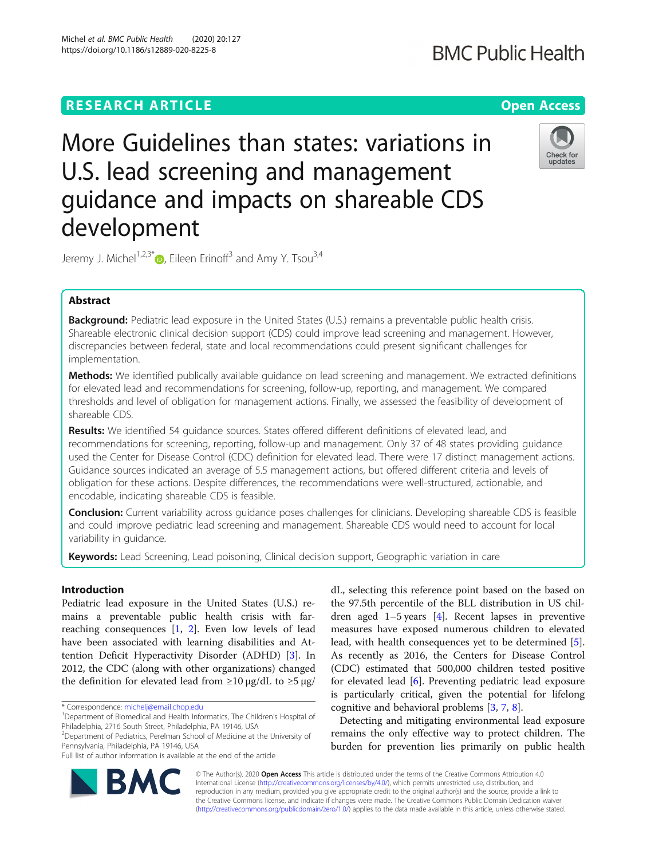Michel et al. BMC Public Health (2020) 20:127 https://doi.org/10.1186/s12889-020-8225-8

# More Guidelines than states: variations in U.S. lead screening and management guidance and impacts on shareable CDS development



Jeremy J. Michel<sup>1,2,3[\\*](http://orcid.org/0000-0001-7262-630X)</sup>  $\bullet$ . Eileen Erinoff<sup>3</sup> and Amy Y. Tsou<sup>3,4</sup>

# Abstract

Background: Pediatric lead exposure in the United States (U.S.) remains a preventable public health crisis. Shareable electronic clinical decision support (CDS) could improve lead screening and management. However, discrepancies between federal, state and local recommendations could present significant challenges for implementation.

Methods: We identified publically available guidance on lead screening and management. We extracted definitions for elevated lead and recommendations for screening, follow-up, reporting, and management. We compared thresholds and level of obligation for management actions. Finally, we assessed the feasibility of development of shareable CDS.

Results: We identified 54 guidance sources. States offered different definitions of elevated lead, and recommendations for screening, reporting, follow-up and management. Only 37 of 48 states providing guidance used the Center for Disease Control (CDC) definition for elevated lead. There were 17 distinct management actions. Guidance sources indicated an average of 5.5 management actions, but offered different criteria and levels of obligation for these actions. Despite differences, the recommendations were well-structured, actionable, and encodable, indicating shareable CDS is feasible.

**Conclusion:** Current variability across guidance poses challenges for clinicians. Developing shareable CDS is feasible and could improve pediatric lead screening and management. Shareable CDS would need to account for local variability in guidance.

Keywords: Lead Screening, Lead poisoning, Clinical decision support, Geographic variation in care

# Introduction

Pediatric lead exposure in the United States (U.S.) remains a preventable public health crisis with farreaching consequences [\[1](#page-6-0), [2](#page-6-0)]. Even low levels of lead have been associated with learning disabilities and Attention Deficit Hyperactivity Disorder (ADHD) [[3\]](#page-6-0). In 2012, the CDC (along with other organizations) changed the definition for elevated lead from  $\geq$ 10 μg/dL to  $\geq$ 5 μg/

Full list of author information is available at the end of the article



Detecting and mitigating environmental lead exposure remains the only effective way to protect children. The burden for prevention lies primarily on public health



© The Author(s). 2020 Open Access This article is distributed under the terms of the Creative Commons Attribution 4.0 International License [\(http://creativecommons.org/licenses/by/4.0/](http://creativecommons.org/licenses/by/4.0/)), which permits unrestricted use, distribution, and reproduction in any medium, provided you give appropriate credit to the original author(s) and the source, provide a link to the Creative Commons license, and indicate if changes were made. The Creative Commons Public Domain Dedication waiver [\(http://creativecommons.org/publicdomain/zero/1.0/](http://creativecommons.org/publicdomain/zero/1.0/)) applies to the data made available in this article, unless otherwise stated.

<sup>\*</sup> Correspondence: [michelj@email.chop.edu](mailto:michelj@email.chop.edu) <sup>1</sup>

<sup>&</sup>lt;sup>1</sup>Department of Biomedical and Health Informatics, The Children's Hospital of Philadelphia, 2716 South Street, Philadelphia, PA 19146, USA

<sup>&</sup>lt;sup>2</sup>Department of Pediatrics, Perelman School of Medicine at the University of Pennsylvania, Philadelphia, PA 19146, USA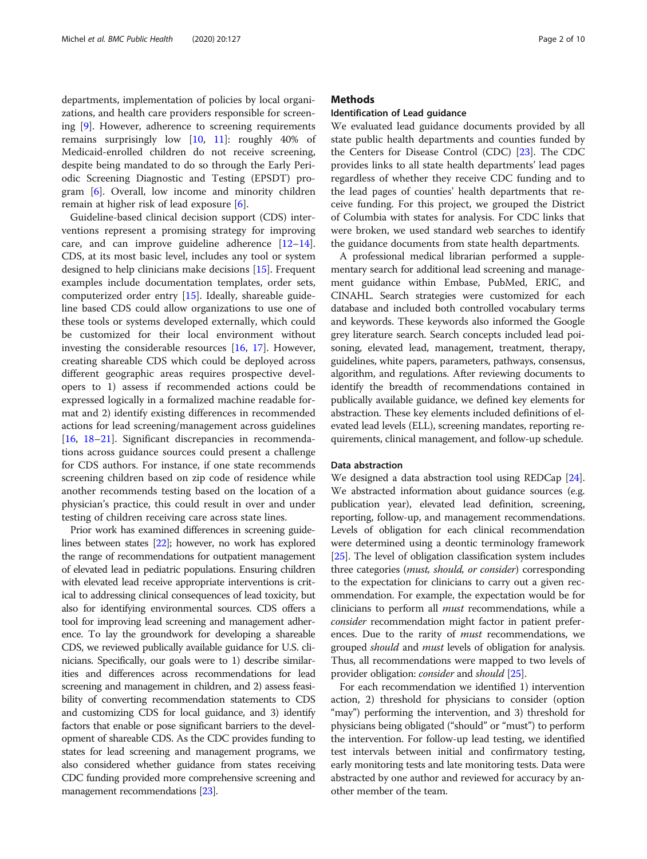departments, implementation of policies by local organizations, and health care providers responsible for screening [[9\]](#page-6-0). However, adherence to screening requirements remains surprisingly low [\[10](#page-6-0), [11\]](#page-6-0): roughly 40% of Medicaid-enrolled children do not receive screening, despite being mandated to do so through the Early Periodic Screening Diagnostic and Testing (EPSDT) program [\[6](#page-6-0)]. Overall, low income and minority children remain at higher risk of lead exposure [[6\]](#page-6-0).

Guideline-based clinical decision support (CDS) interventions represent a promising strategy for improving care, and can improve guideline adherence  $[12-14]$  $[12-14]$  $[12-14]$  $[12-14]$  $[12-14]$ . CDS, at its most basic level, includes any tool or system designed to help clinicians make decisions [[15\]](#page-6-0). Frequent examples include documentation templates, order sets, computerized order entry [[15\]](#page-6-0). Ideally, shareable guideline based CDS could allow organizations to use one of these tools or systems developed externally, which could be customized for their local environment without investing the considerable resources [\[16,](#page-6-0) [17](#page-6-0)]. However, creating shareable CDS which could be deployed across different geographic areas requires prospective developers to 1) assess if recommended actions could be expressed logically in a formalized machine readable format and 2) identify existing differences in recommended actions for lead screening/management across guidelines [[16,](#page-6-0) [18](#page-6-0)–[21\]](#page-7-0). Significant discrepancies in recommendations across guidance sources could present a challenge for CDS authors. For instance, if one state recommends screening children based on zip code of residence while another recommends testing based on the location of a physician's practice, this could result in over and under testing of children receiving care across state lines.

Prior work has examined differences in screening guidelines between states [[22](#page-7-0)]; however, no work has explored the range of recommendations for outpatient management of elevated lead in pediatric populations. Ensuring children with elevated lead receive appropriate interventions is critical to addressing clinical consequences of lead toxicity, but also for identifying environmental sources. CDS offers a tool for improving lead screening and management adherence. To lay the groundwork for developing a shareable CDS, we reviewed publically available guidance for U.S. clinicians. Specifically, our goals were to 1) describe similarities and differences across recommendations for lead screening and management in children, and 2) assess feasibility of converting recommendation statements to CDS and customizing CDS for local guidance, and 3) identify factors that enable or pose significant barriers to the development of shareable CDS. As the CDC provides funding to states for lead screening and management programs, we also considered whether guidance from states receiving CDC funding provided more comprehensive screening and management recommendations [\[23\]](#page-7-0).

# **Methods**

#### Identification of Lead guidance

We evaluated lead guidance documents provided by all state public health departments and counties funded by the Centers for Disease Control (CDC) [\[23](#page-7-0)]. The CDC provides links to all state health departments' lead pages regardless of whether they receive CDC funding and to the lead pages of counties' health departments that receive funding. For this project, we grouped the District of Columbia with states for analysis. For CDC links that were broken, we used standard web searches to identify the guidance documents from state health departments.

A professional medical librarian performed a supplementary search for additional lead screening and management guidance within Embase, PubMed, ERIC, and CINAHL. Search strategies were customized for each database and included both controlled vocabulary terms and keywords. These keywords also informed the Google grey literature search. Search concepts included lead poisoning, elevated lead, management, treatment, therapy, guidelines, white papers, parameters, pathways, consensus, algorithm, and regulations. After reviewing documents to identify the breadth of recommendations contained in publically available guidance, we defined key elements for abstraction. These key elements included definitions of elevated lead levels (ELL), screening mandates, reporting requirements, clinical management, and follow-up schedule.

## Data abstraction

We designed a data abstraction tool using REDCap [[24](#page-7-0)]. We abstracted information about guidance sources (e.g. publication year), elevated lead definition, screening, reporting, follow-up, and management recommendations. Levels of obligation for each clinical recommendation were determined using a deontic terminology framework [[25](#page-7-0)]. The level of obligation classification system includes three categories (must, should, or consider) corresponding to the expectation for clinicians to carry out a given recommendation. For example, the expectation would be for clinicians to perform all must recommendations, while a consider recommendation might factor in patient preferences. Due to the rarity of *must* recommendations, we grouped *should* and *must* levels of obligation for analysis. Thus, all recommendations were mapped to two levels of provider obligation: consider and should [\[25\]](#page-7-0).

For each recommendation we identified 1) intervention action, 2) threshold for physicians to consider (option "may") performing the intervention, and 3) threshold for physicians being obligated ("should" or "must") to perform the intervention. For follow-up lead testing, we identified test intervals between initial and confirmatory testing, early monitoring tests and late monitoring tests. Data were abstracted by one author and reviewed for accuracy by another member of the team.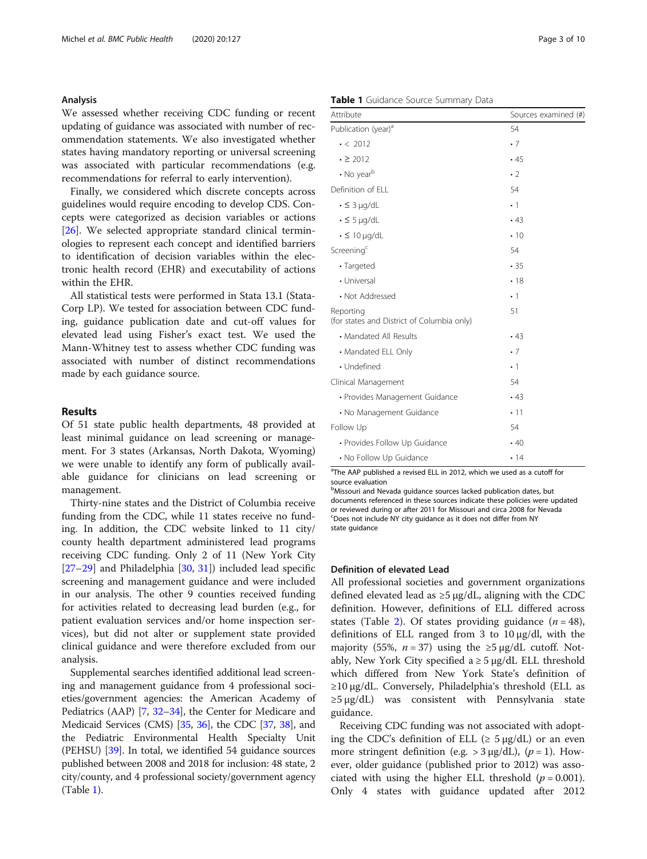#### Analysis

We assessed whether receiving CDC funding or recent updating of guidance was associated with number of recommendation statements. We also investigated whether states having mandatory reporting or universal screening was associated with particular recommendations (e.g. recommendations for referral to early intervention).

Finally, we considered which discrete concepts across guidelines would require encoding to develop CDS. Concepts were categorized as decision variables or actions [[26\]](#page-7-0). We selected appropriate standard clinical terminologies to represent each concept and identified barriers to identification of decision variables within the electronic health record (EHR) and executability of actions within the EHR.

All statistical tests were performed in Stata 13.1 (Stata-Corp LP). We tested for association between CDC funding, guidance publication date and cut-off values for elevated lead using Fisher's exact test. We used the Mann-Whitney test to assess whether CDC funding was associated with number of distinct recommendations made by each guidance source.

### Results

Of 51 state public health departments, 48 provided at least minimal guidance on lead screening or management. For 3 states (Arkansas, North Dakota, Wyoming) we were unable to identify any form of publically available guidance for clinicians on lead screening or management.

Thirty-nine states and the District of Columbia receive funding from the CDC, while 11 states receive no funding. In addition, the CDC website linked to 11 city/ county health department administered lead programs receiving CDC funding. Only 2 of 11 (New York City  $[27–29]$  $[27–29]$  $[27–29]$  $[27–29]$  $[27–29]$  and Philadelphia  $[30, 31]$  $[30, 31]$  $[30, 31]$  $[30, 31]$  $[30, 31]$ ) included lead specific screening and management guidance and were included in our analysis. The other 9 counties received funding for activities related to decreasing lead burden (e.g., for patient evaluation services and/or home inspection services), but did not alter or supplement state provided clinical guidance and were therefore excluded from our analysis.

Supplemental searches identified additional lead screening and management guidance from 4 professional societies/government agencies: the American Academy of Pediatrics (AAP) [\[7](#page-6-0), [32](#page-7-0)–[34\]](#page-7-0), the Center for Medicare and Medicaid Services (CMS) [\[35,](#page-7-0) [36\]](#page-7-0), the CDC [\[37,](#page-7-0) [38](#page-7-0)], and the Pediatric Environmental Health Specialty Unit (PEHSU) [[39](#page-7-0)]. In total, we identified 54 guidance sources published between 2008 and 2018 for inclusion: 48 state, 2 city/county, and 4 professional society/government agency (Table 1).

| Definition of FLL        | 54         |
|--------------------------|------------|
| $\cdot \leq 3 \mu q/dL$  | $\cdot$ 1  |
| $\cdot \leq 5 \mu q/dL$  | .43        |
| $\cdot \leq 10 \mu q/dL$ | $\cdot$ 10 |
| Screening <sup>c</sup>   | 54         |

Attribute Sources examined (#)

| $\cdot$ 10 |
|------------|
| 54         |
| $\cdot$ 35 |
| •18        |
| $\cdot$ 1  |
| 51         |
| .43        |
| $\cdot$ 7  |
| $\cdot$ 1  |
| 54         |
| .43        |
| $\cdot$ 11 |
| 54         |
| $\cdot$ 40 |
| $\cdot$ 14 |
|            |

<sup>a</sup>The AAP published a revised ELL in 2012, which we used as a cutoff for source evaluation

**bMissouri and Nevada guidance sources lacked publication dates, but** documents referenced in these sources indicate these policies were updated or reviewed during or after 2011 for Missouri and circa 2008 for Nevada <sup>c</sup>Does not include NY city guidance as it does not differ from NY state guidance

#### Definition of elevated Lead

All professional societies and government organizations defined elevated lead as  $\geq 5 \mu g/dL$ , aligning with the CDC definition. However, definitions of ELL differed across states (Table [2\)](#page-3-0). Of states providing guidance  $(n = 48)$ , definitions of ELL ranged from 3 to 10 μg/dl, with the majority (55%,  $n = 37$ ) using the ≥5  $\mu$ g/dL cutoff. Notably, New York City specified  $a \ge 5 \mu g/dL$  ELL threshold which differed from New York State's definition of ≥10 μg/dL. Conversely, Philadelphia's threshold (ELL as ≥5 μg/dL) was consistent with Pennsylvania state guidance.

Receiving CDC funding was not associated with adopting the CDC's definition of ELL ( $\geq$  5 μg/dL) or an even more stringent definition (e.g.  $>$  3  $\mu$ g/dL), (p = 1). However, older guidance (published prior to 2012) was associated with using the higher ELL threshold ( $p = 0.001$ ). Only 4 states with guidance updated after 2012

#### Table 1 Guidance Source Summary Data

Publication (year)<sup>a</sup> 54 •  $<$  2012 • 7  $\bullet$  > 2012 • No year  $\overline{ }$  • 2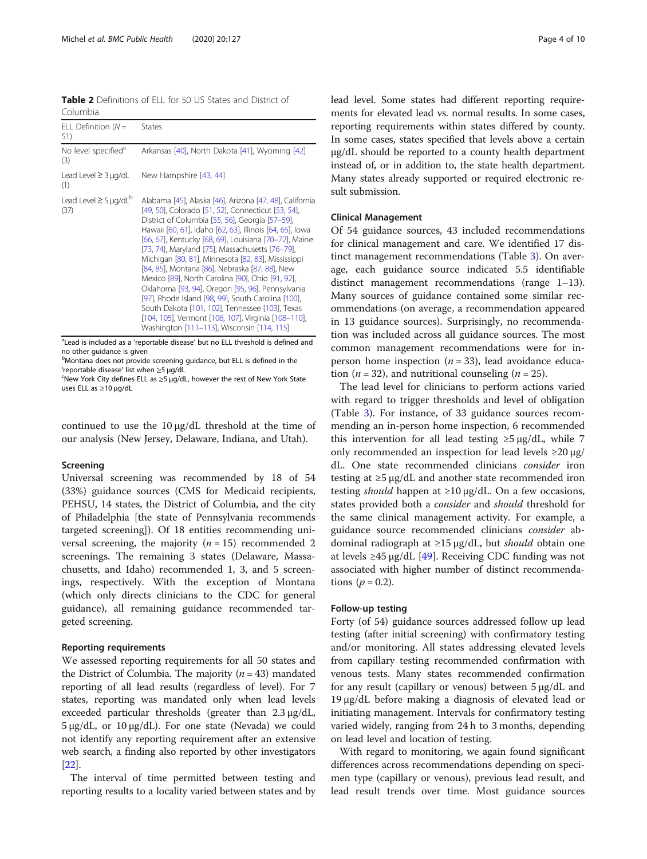<span id="page-3-0"></span>Table 2 Definitions of ELL for 50 US States and District of Columbia

| ELL Definition ( $N=$<br>51)                   | States                                                                                                                                                                                                                                                                                                                                                                                                                                                                                                                                                                                                                                                                                                                                                                 |
|------------------------------------------------|------------------------------------------------------------------------------------------------------------------------------------------------------------------------------------------------------------------------------------------------------------------------------------------------------------------------------------------------------------------------------------------------------------------------------------------------------------------------------------------------------------------------------------------------------------------------------------------------------------------------------------------------------------------------------------------------------------------------------------------------------------------------|
| No level specified <sup>®</sup><br>(3)         | Arkansas [40], North Dakota [41], Wyoming [42]                                                                                                                                                                                                                                                                                                                                                                                                                                                                                                                                                                                                                                                                                                                         |
| Lead Level $\geq$ 3 $\mu$ g/dL<br>(1)          | New Hampshire [43, 44]                                                                                                                                                                                                                                                                                                                                                                                                                                                                                                                                                                                                                                                                                                                                                 |
| Lead Level $\geq$ 5 µg/dL <sup>b</sup><br>(37) | Alabama [45], Alaska [46], Arizona [47, 48], California<br>[49, 50], Colorado [51, 52], Connecticut [53, 54],<br>District of Columbia [55, 56], Georgia [57-59],<br>Hawaii [60, 61], Idaho [62, 63], Illinois [64, 65], Iowa<br>[66, 67], Kentucky [68, 69], Louisiana [70-72], Maine<br>[73, 74], Maryland [75], Massachusetts [76-79],<br>Michigan [80, 81], Minnesota [82, 83], Mississippi<br>[84, 85], Montana [86], Nebraska [87, 88], New<br>Mexico [89], North Carolina [90], Ohio [91, 92],<br>Oklahoma [93, 94], Oregon [95, 96], Pennsylvania<br>[97], Rhode Island [98, 99], South Carolina [100],<br>South Dakota [101, 102], Tennessee [103], Texas<br>[104, 105], Vermont [106, 107], Virginia [108-110],<br>Washington [111-113], Wisconsin [114, 115] |

<sup>a</sup>Lead is included as a 'reportable disease' but no ELL threshold is defined and no other guidance is given

<sup>b</sup>Montana does not provide screening guidance, but ELL is defined in the 'reportable disease' list when ≥5 µg/dL

 $K$ New York City defines ELL as  $\geq$ 5 µg/dL, however the rest of New York State uses ELL as ≥10 μg/dL

continued to use the 10 μg/dL threshold at the time of our analysis (New Jersey, Delaware, Indiana, and Utah).

#### Screening

Universal screening was recommended by 18 of 54 (33%) guidance sources (CMS for Medicaid recipients, PEHSU, 14 states, the District of Columbia, and the city of Philadelphia [the state of Pennsylvania recommends targeted screening]). Of 18 entities recommending universal screening, the majority  $(n = 15)$  recommended 2 screenings. The remaining 3 states (Delaware, Massachusetts, and Idaho) recommended 1, 3, and 5 screenings, respectively. With the exception of Montana (which only directs clinicians to the CDC for general guidance), all remaining guidance recommended targeted screening.

#### Reporting requirements

We assessed reporting requirements for all 50 states and the District of Columbia. The majority  $(n = 43)$  mandated reporting of all lead results (regardless of level). For 7 states, reporting was mandated only when lead levels exceeded particular thresholds (greater than 2.3 μg/dL,  $5 \mu g/dL$ , or 10  $\mu g/dL$ ). For one state (Nevada) we could not identify any reporting requirement after an extensive web search, a finding also reported by other investigators [[22](#page-7-0)].

The interval of time permitted between testing and reporting results to a locality varied between states and by lead level. Some states had different reporting requirements for elevated lead vs. normal results. In some cases, reporting requirements within states differed by county. In some cases, states specified that levels above a certain μg/dL should be reported to a county health department instead of, or in addition to, the state health department. Many states already supported or required electronic result submission.

# Clinical Management

Of 54 guidance sources, 43 included recommendations for clinical management and care. We identified 17 distinct management recommendations (Table [3](#page-4-0)). On average, each guidance source indicated 5.5 identifiable distinct management recommendations (range 1–13). Many sources of guidance contained some similar recommendations (on average, a recommendation appeared in 13 guidance sources). Surprisingly, no recommendation was included across all guidance sources. The most common management recommendations were for inperson home inspection ( $n = 33$ ), lead avoidance education ( $n = 32$ ), and nutritional counseling ( $n = 25$ ).

The lead level for clinicians to perform actions varied with regard to trigger thresholds and level of obligation (Table [3](#page-4-0)). For instance, of 33 guidance sources recommending an in-person home inspection, 6 recommended this intervention for all lead testing  $\geq 5 \mu g/dL$ , while 7 only recommended an inspection for lead levels  $\geq 20 \mu g$ dL. One state recommended clinicians consider iron testing at  $\geq$ 5 μg/dL and another state recommended iron testing *should* happen at  $\geq 10 \mu g/dL$ . On a few occasions, states provided both a consider and should threshold for the same clinical management activity. For example, a guidance source recommended clinicians consider abdominal radiograph at  $\geq$ 15 μg/dL, but *should* obtain one at levels ≥45 μg/dL [\[49](#page-7-0)]. Receiving CDC funding was not associated with higher number of distinct recommendations ( $p = 0.2$ ).

# Follow-up testing

Forty (of 54) guidance sources addressed follow up lead testing (after initial screening) with confirmatory testing and/or monitoring. All states addressing elevated levels from capillary testing recommended confirmation with venous tests. Many states recommended confirmation for any result (capillary or venous) between 5 μg/dL and 19 μg/dL before making a diagnosis of elevated lead or initiating management. Intervals for confirmatory testing varied widely, ranging from 24 h to 3 months, depending on lead level and location of testing.

With regard to monitoring, we again found significant differences across recommendations depending on specimen type (capillary or venous), previous lead result, and lead result trends over time. Most guidance sources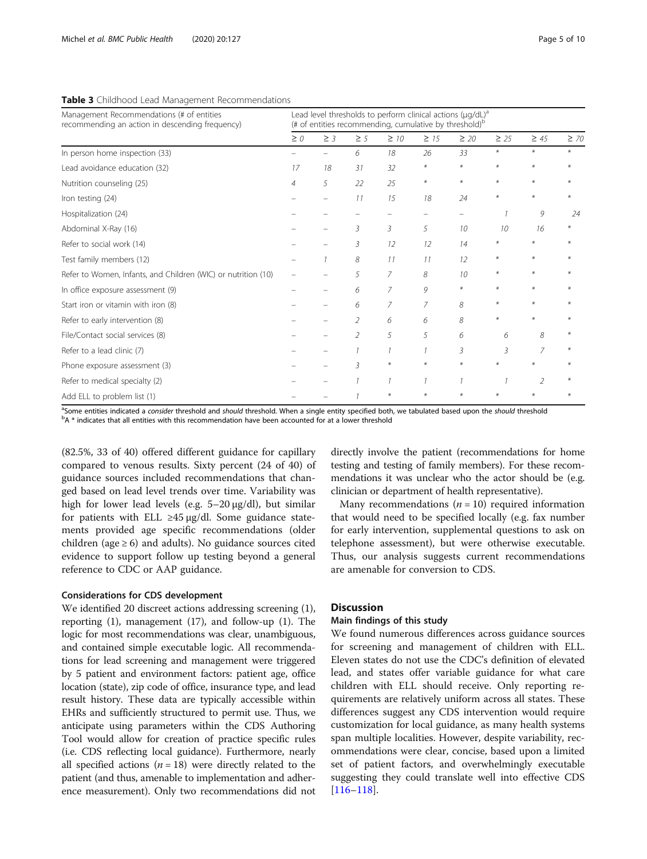<span id="page-4-0"></span>

| Management Recommendations (# of entities<br>recommending an action in descending frequency) | Lead level thresholds to perform clinical actions $(\mu q/dL)^a$<br>(# of entities recommending, cumulative by threshold) $^{\circ}$ |          |                |                |           |           |           |                |           |
|----------------------------------------------------------------------------------------------|--------------------------------------------------------------------------------------------------------------------------------------|----------|----------------|----------------|-----------|-----------|-----------|----------------|-----------|
|                                                                                              | $\geq 0$                                                                                                                             | $\geq$ 3 | $\geq$ 5       | $\geq$ 10      | $\geq$ 15 | $\geq 20$ | $\geq$ 25 | $\geq 45$      | $\geq 70$ |
| In person home inspection (33)                                                               |                                                                                                                                      |          | 6              | 18             | 26        | 33        | $\ast$    | $\ast$         | $*$       |
| Lead avoidance education (32)                                                                | 17                                                                                                                                   | 18       | 31             | 32             | $*$       | $*$       | $*$       | $*$            |           |
| Nutrition counseling (25)                                                                    | $\overline{4}$                                                                                                                       | 5        | 22             | 25             | $\ast$    | $*$       | $*$       | $*$            |           |
| Iron testing (24)                                                                            |                                                                                                                                      |          | 11             | 15             | 18        | 24        | $*$       | $*$            | $\ast$    |
| Hospitalization (24)                                                                         |                                                                                                                                      |          |                |                |           |           |           | 9              | 24        |
| Abdominal X-Ray (16)                                                                         |                                                                                                                                      |          | 3              | 3              | 5         | 10        | 10        | 16             | $\ast$    |
| Refer to social work (14)                                                                    |                                                                                                                                      |          | 3              | 12             | 12        | 14        |           |                |           |
| Test family members (12)                                                                     |                                                                                                                                      |          | 8              | 11             | 11        | 12        | $*$       |                |           |
| Refer to Women, Infants, and Children (WIC) or nutrition (10)                                |                                                                                                                                      |          | 5              | 7              | 8         | 10        | $*$       |                |           |
| In office exposure assessment (9)                                                            |                                                                                                                                      |          | 6              | 7              | 9         | $\star$   | $*$       | $\ast$         |           |
| Start iron or vitamin with iron (8)                                                          |                                                                                                                                      |          | 6              | $\overline{7}$ | 7         | 8         | $*$       | $\ast$         |           |
| Refer to early intervention (8)                                                              |                                                                                                                                      |          | $\overline{2}$ | 6              | 6         | 8         | $\ast$    | $\ast$         |           |
| File/Contact social services (8)                                                             |                                                                                                                                      |          | 2              | 5              | 5         | 6         | 6         | 8              | $\ast$    |
| Refer to a lead clinic (7)                                                                   |                                                                                                                                      |          |                |                |           | 3         | 3         | 7              | $\ast$    |
| Phone exposure assessment (3)                                                                |                                                                                                                                      |          | 3              |                |           |           |           |                |           |
| Refer to medical specialty (2)                                                               |                                                                                                                                      |          |                |                |           |           |           | $\overline{2}$ | $\ast$    |
| Add ELL to problem list (1)                                                                  |                                                                                                                                      |          |                |                |           |           |           |                |           |

<sup>a</sup>Some entities indicated a consider threshold and should threshold. When a single entity specified both, we tabulated based upon the should threshold based upon the should threshold based upon the should threshold  $A *$  indicates that all entities with this recommendation have been accounted for at a lower threshold

(82.5%, 33 of 40) offered different guidance for capillary compared to venous results. Sixty percent (24 of 40) of guidance sources included recommendations that changed based on lead level trends over time. Variability was high for lower lead levels (e.g. 5–20 μg/dl), but similar for patients with ELL  $\geq$ 45 μg/dl. Some guidance statements provided age specific recommendations (older children (age  $\geq 6$ ) and adults). No guidance sources cited evidence to support follow up testing beyond a general reference to CDC or AAP guidance.

#### Considerations for CDS development

We identified 20 discreet actions addressing screening (1), reporting (1), management (17), and follow-up (1). The logic for most recommendations was clear, unambiguous, and contained simple executable logic. All recommendations for lead screening and management were triggered by 5 patient and environment factors: patient age, office location (state), zip code of office, insurance type, and lead result history. These data are typically accessible within EHRs and sufficiently structured to permit use. Thus, we anticipate using parameters within the CDS Authoring Tool would allow for creation of practice specific rules (i.e. CDS reflecting local guidance). Furthermore, nearly all specified actions ( $n = 18$ ) were directly related to the patient (and thus, amenable to implementation and adherence measurement). Only two recommendations did not

directly involve the patient (recommendations for home testing and testing of family members). For these recommendations it was unclear who the actor should be (e.g. clinician or department of health representative).

Many recommendations  $(n = 10)$  required information that would need to be specified locally (e.g. fax number for early intervention, supplemental questions to ask on telephone assessment), but were otherwise executable. Thus, our analysis suggests current recommendations are amenable for conversion to CDS.

# **Discussion**

# Main findings of this study

We found numerous differences across guidance sources for screening and management of children with ELL. Eleven states do not use the CDC's definition of elevated lead, and states offer variable guidance for what care children with ELL should receive. Only reporting requirements are relatively uniform across all states. These differences suggest any CDS intervention would require customization for local guidance, as many health systems span multiple localities. However, despite variability, recommendations were clear, concise, based upon a limited set of patient factors, and overwhelmingly executable suggesting they could translate well into effective CDS [[116](#page-9-0)–[118](#page-9-0)].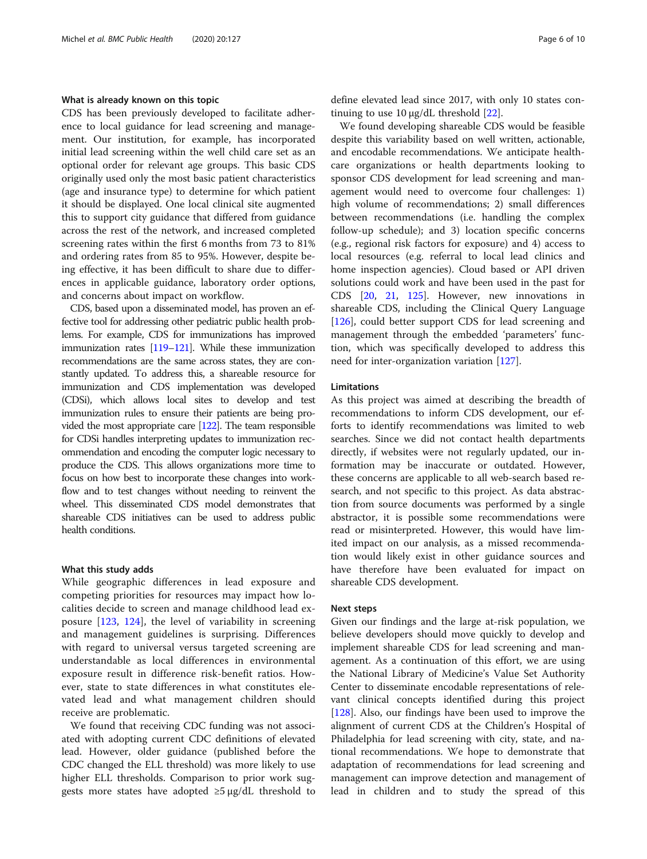#### What is already known on this topic

CDS has been previously developed to facilitate adherence to local guidance for lead screening and management. Our institution, for example, has incorporated initial lead screening within the well child care set as an optional order for relevant age groups. This basic CDS originally used only the most basic patient characteristics (age and insurance type) to determine for which patient it should be displayed. One local clinical site augmented this to support city guidance that differed from guidance across the rest of the network, and increased completed screening rates within the first 6 months from 73 to 81% and ordering rates from 85 to 95%. However, despite being effective, it has been difficult to share due to differences in applicable guidance, laboratory order options, and concerns about impact on workflow.

CDS, based upon a disseminated model, has proven an effective tool for addressing other pediatric public health problems. For example, CDS for immunizations has improved immunization rates [\[119](#page-9-0)–[121](#page-9-0)]. While these immunization recommendations are the same across states, they are constantly updated. To address this, a shareable resource for immunization and CDS implementation was developed (CDSi), which allows local sites to develop and test immunization rules to ensure their patients are being provided the most appropriate care [[122](#page-9-0)]. The team responsible for CDSi handles interpreting updates to immunization recommendation and encoding the computer logic necessary to produce the CDS. This allows organizations more time to focus on how best to incorporate these changes into workflow and to test changes without needing to reinvent the wheel. This disseminated CDS model demonstrates that shareable CDS initiatives can be used to address public health conditions.

#### What this study adds

While geographic differences in lead exposure and competing priorities for resources may impact how localities decide to screen and manage childhood lead exposure [[123](#page-9-0), [124](#page-9-0)], the level of variability in screening and management guidelines is surprising. Differences with regard to universal versus targeted screening are understandable as local differences in environmental exposure result in difference risk-benefit ratios. However, state to state differences in what constitutes elevated lead and what management children should receive are problematic.

We found that receiving CDC funding was not associated with adopting current CDC definitions of elevated lead. However, older guidance (published before the CDC changed the ELL threshold) was more likely to use higher ELL thresholds. Comparison to prior work suggests more states have adopted  $\geq$ 5  $\mu$ g/dL threshold to define elevated lead since 2017, with only 10 states continuing to use  $10 \mu g/dL$  threshold [\[22\]](#page-7-0).

We found developing shareable CDS would be feasible despite this variability based on well written, actionable, and encodable recommendations. We anticipate healthcare organizations or health departments looking to sponsor CDS development for lead screening and management would need to overcome four challenges: 1) high volume of recommendations; 2) small differences between recommendations (i.e. handling the complex follow-up schedule); and 3) location specific concerns (e.g., regional risk factors for exposure) and 4) access to local resources (e.g. referral to local lead clinics and home inspection agencies). Cloud based or API driven solutions could work and have been used in the past for CDS [[20,](#page-7-0) [21,](#page-7-0) [125\]](#page-9-0). However, new innovations in shareable CDS, including the Clinical Query Language [[126\]](#page-9-0), could better support CDS for lead screening and management through the embedded 'parameters' function, which was specifically developed to address this need for inter-organization variation [\[127\]](#page-9-0).

## Limitations

As this project was aimed at describing the breadth of recommendations to inform CDS development, our efforts to identify recommendations was limited to web searches. Since we did not contact health departments directly, if websites were not regularly updated, our information may be inaccurate or outdated. However, these concerns are applicable to all web-search based research, and not specific to this project. As data abstraction from source documents was performed by a single abstractor, it is possible some recommendations were read or misinterpreted. However, this would have limited impact on our analysis, as a missed recommendation would likely exist in other guidance sources and have therefore have been evaluated for impact on shareable CDS development.

# Next steps

Given our findings and the large at-risk population, we believe developers should move quickly to develop and implement shareable CDS for lead screening and management. As a continuation of this effort, we are using the National Library of Medicine's Value Set Authority Center to disseminate encodable representations of relevant clinical concepts identified during this project [[128\]](#page-9-0). Also, our findings have been used to improve the alignment of current CDS at the Children's Hospital of Philadelphia for lead screening with city, state, and national recommendations. We hope to demonstrate that adaptation of recommendations for lead screening and management can improve detection and management of lead in children and to study the spread of this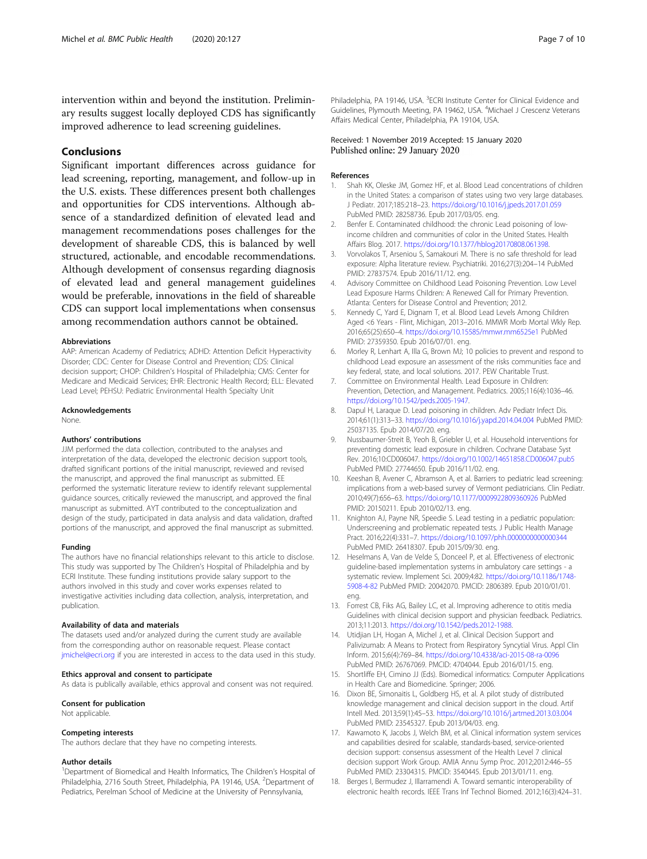<span id="page-6-0"></span>intervention within and beyond the institution. Preliminary results suggest locally deployed CDS has significantly improved adherence to lead screening guidelines.

# Conclusions

Significant important differences across guidance for lead screening, reporting, management, and follow-up in the U.S. exists. These differences present both challenges and opportunities for CDS interventions. Although absence of a standardized definition of elevated lead and management recommendations poses challenges for the development of shareable CDS, this is balanced by well structured, actionable, and encodable recommendations. Although development of consensus regarding diagnosis of elevated lead and general management guidelines would be preferable, innovations in the field of shareable CDS can support local implementations when consensus among recommendation authors cannot be obtained.

#### Abbreviations

AAP: American Academy of Pediatrics; ADHD: Attention Deficit Hyperactivity Disorder; CDC: Center for Disease Control and Prevention; CDS: Clinical decision support; CHOP: Children's Hospital of Philadelphia; CMS: Center for Medicare and Medicaid Services; EHR: Electronic Health Record; ELL: Elevated Lead Level; PEHSU: Pediatric Environmental Health Specialty Unit

#### Acknowledgements

None.

#### Authors' contributions

JJM performed the data collection, contributed to the analyses and interpretation of the data, developed the electronic decision support tools, drafted significant portions of the initial manuscript, reviewed and revised the manuscript, and approved the final manuscript as submitted. EE performed the systematic literature review to identify relevant supplemental guidance sources, critically reviewed the manuscript, and approved the final manuscript as submitted. AYT contributed to the conceptualization and design of the study, participated in data analysis and data validation, drafted portions of the manuscript, and approved the final manuscript as submitted.

#### Funding

The authors have no financial relationships relevant to this article to disclose. This study was supported by The Children's Hospital of Philadelphia and by ECRI Institute. These funding institutions provide salary support to the authors involved in this study and cover works expenses related to investigative activities including data collection, analysis, interpretation, and publication.

#### Availability of data and materials

The datasets used and/or analyzed during the current study are available from the corresponding author on reasonable request. Please contact [jmichel@ecri.org](mailto:jmichel@ecri.org) if you are interested in access to the data used in this study.

#### Ethics approval and consent to participate

As data is publically available, ethics approval and consent was not required.

#### Consent for publication

Not applicable.

#### Competing interests

The authors declare that they have no competing interests.

#### Author details

<sup>1</sup>Department of Biomedical and Health Informatics, The Children's Hospital of Philadelphia, 2716 South Street, Philadelphia, PA 19146, USA. <sup>2</sup>Department of Pediatrics, Perelman School of Medicine at the University of Pennsylvania,

Philadelphia, PA 19146, USA. <sup>3</sup>ECRI Institute Center for Clinical Evidence and Guidelines, Plymouth Meeting, PA 19462, USA. <sup>4</sup>Michael J Crescenz Veterans Affairs Medical Center, Philadelphia, PA 19104, USA.

#### Received: 1 November 2019 Accepted: 15 January 2020 Published online: 29 January 2020

#### References

- 1. Shah KK, Oleske JM, Gomez HF, et al. Blood Lead concentrations of children in the United States: a comparison of states using two very large databases. J Pediatr. 2017;185:218–23. <https://doi.org/10.1016/j.jpeds.2017.01.059> PubMed PMID: 28258736. Epub 2017/03/05. eng.
- 2. Benfer E. Contaminated childhood: the chronic Lead poisoning of lowincome children and communities of color in the United States. Health Affairs Blog. 2017. <https://doi.org/10.1377/hblog20170808.061398>.
- 3. Vorvolakos T, Arseniou S, Samakouri M. There is no safe threshold for lead exposure: Alpha literature review. Psychiatriki. 2016;27(3):204–14 PubMed PMID: 27837574. Epub 2016/11/12. eng.
- 4. Advisory Committee on Childhood Lead Poisoning Prevention. Low Level Lead Exposure Harms Children: A Renewed Call for Primary Prevention. Atlanta: Centers for Disease Control and Prevention; 2012.
- 5. Kennedy C, Yard E, Dignam T, et al. Blood Lead Levels Among Children Aged <6 Years - Flint, Michigan, 2013–2016. MMWR Morb Mortal Wkly Rep. 2016;65(25):650–4. <https://doi.org/10.15585/mmwr.mm6525e1> PubMed PMID: 27359350. Epub 2016/07/01. eng.
- 6. Morley R, Lenhart A, Illa G, Brown MJ; 10 policies to prevent and respond to childhood Lead exposure an assessment of the risks communities face and key federal, state, and local solutions. 2017. PEW Charitable Trust.
- 7. Committee on Environmental Health. Lead Exposure in Children: Prevention, Detection, and Management. Pediatrics. 2005;116(4):1036–46. <https://doi.org/10.1542/peds.2005-1947>.
- 8. Dapul H, Laraque D. Lead poisoning in children. Adv Pediatr Infect Dis. 2014;61(1):313–33. <https://doi.org/10.1016/j.yapd.2014.04.004> PubMed PMID: 25037135. Epub 2014/07/20. eng.
- 9. Nussbaumer-Streit B, Yeoh B, Griebler U, et al. Household interventions for preventing domestic lead exposure in children. Cochrane Database Syst Rev. 2016;10:CD006047. <https://doi.org/10.1002/14651858.CD006047.pub5> PubMed PMID: 27744650. Epub 2016/11/02. eng.
- 10. Keeshan B, Avener C, Abramson A, et al. Barriers to pediatric lead screening: implications from a web-based survey of Vermont pediatricians. Clin Pediatr. 2010;49(7):656–63. <https://doi.org/10.1177/0009922809360926> PubMed PMID: 20150211. Epub 2010/02/13. eng.
- 11. Knighton AJ, Payne NR, Speedie S. Lead testing in a pediatric population: Underscreening and problematic repeated tests. J Public Health Manage Pract. 2016;22(4):331–7. <https://doi.org/10.1097/phh.0000000000000344> PubMed PMID: 26418307. Epub 2015/09/30. eng.
- 12. Heselmans A, Van de Velde S, Donceel P, et al. Effectiveness of electronic guideline-based implementation systems in ambulatory care settings - a systematic review. Implement Sci. 2009;4:82. [https://doi.org/10.1186/1748-](https://doi.org/10.1186/1748-5908-4-82) [5908-4-82](https://doi.org/10.1186/1748-5908-4-82) PubMed PMID: 20042070. PMCID: 2806389. Epub 2010/01/01. eng.
- 13. Forrest CB, Fiks AG, Bailey LC, et al. Improving adherence to otitis media Guidelines with clinical decision support and physician feedback. Pediatrics. 2013;11:2013. <https://doi.org/10.1542/peds.2012-1988>.
- 14. Utidjian LH, Hogan A, Michel J, et al. Clinical Decision Support and Palivizumab: A Means to Protect from Respiratory Syncytial Virus. Appl Clin Inform. 2015;6(4):769–84. <https://doi.org/10.4338/aci-2015-08-ra-0096> PubMed PMID: 26767069. PMCID: 4704044. Epub 2016/01/15. eng.
- 15. Shortliffe EH, Cimino JJ (Eds). Biomedical informatics: Computer Applications in Health Care and Biomedicine. Springer; 2006.
- 16. Dixon BE, Simonaitis L, Goldberg HS, et al. A pilot study of distributed knowledge management and clinical decision support in the cloud. Artif Intell Med. 2013;59(1):45–53. <https://doi.org/10.1016/j.artmed.2013.03.004> PubMed PMID: 23545327. Epub 2013/04/03. eng.
- 17. Kawamoto K, Jacobs J, Welch BM, et al. Clinical information system services and capabilities desired for scalable, standards-based, service-oriented decision support: consensus assessment of the Health Level 7 clinical decision support Work Group. AMIA Annu Symp Proc. 2012;2012:446–55 PubMed PMID: 23304315. PMCID: 3540445. Epub 2013/01/11. eng.
- 18. Berges I, Bermudez J, Illarramendi A. Toward semantic interoperability of electronic health records. IEEE Trans Inf Technol Biomed. 2012;16(3):424–31.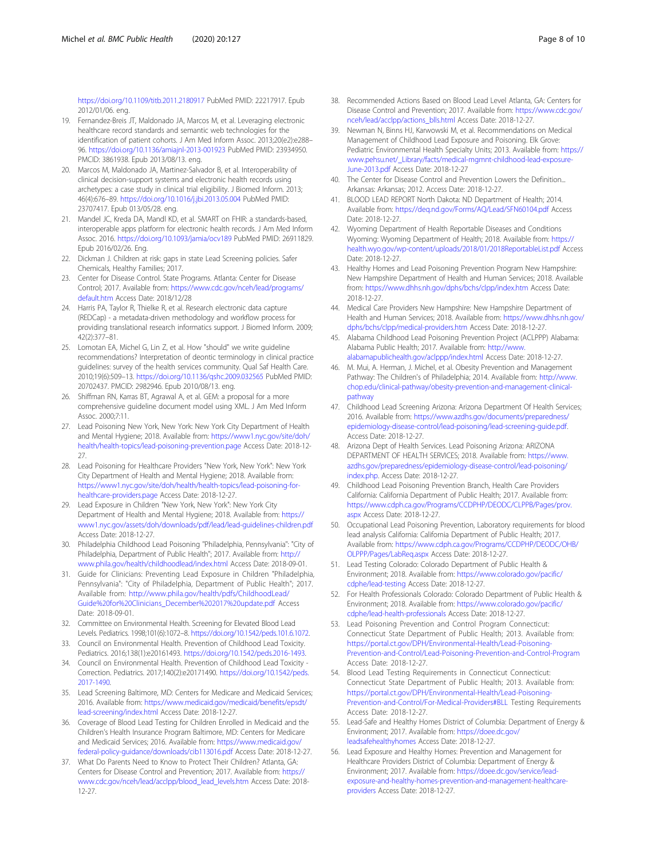<span id="page-7-0"></span><https://doi.org/10.1109/titb.2011.2180917> PubMed PMID: 22217917. Epub 2012/01/06. eng.

- 19. Fernandez-Breis JT, Maldonado JA, Marcos M, et al. Leveraging electronic healthcare record standards and semantic web technologies for the identification of patient cohorts. J Am Med Inform Assoc. 2013;20(e2):e288– 96. <https://doi.org/10.1136/amiajnl-2013-001923> PubMed PMID: 23934950. PMCID: 3861938. Epub 2013/08/13. eng.
- 20. Marcos M, Maldonado JA, Martinez-Salvador B, et al. Interoperability of clinical decision-support systems and electronic health records using archetypes: a case study in clinical trial eligibility. J Biomed Inform. 2013; 46(4):676–89. <https://doi.org/10.1016/j.jbi.2013.05.004> PubMed PMID: 23707417. Epub 013/05/28. eng.
- 21. Mandel JC, Kreda DA, Mandl KD, et al. SMART on FHIR: a standards-based, interoperable apps platform for electronic health records. J Am Med Inform Assoc. 2016. <https://doi.org/10.1093/jamia/ocv189> PubMed PMID: 26911829. Epub 2016/02/26. Eng.
- 22. Dickman J. Children at risk: gaps in state Lead Screening policies. Safer Chemicals, Healthy Families; 2017.
- 23. Center for Disease Control. State Programs. Atlanta: Center for Disease Control; 2017. Available from: [https://www.cdc.gov/nceh/lead/programs/](https://www.cdc.gov/nceh/lead/programs/default.htm) [default.htm](https://www.cdc.gov/nceh/lead/programs/default.htm) Access Date: 2018/12/28
- 24. Harris PA, Taylor R, Thielke R, et al. Research electronic data capture (REDCap) - a metadata-driven methodology and workflow process for providing translational research informatics support. J Biomed Inform. 2009; 42(2):377–81.
- 25. Lomotan EA, Michel G, Lin Z, et al. How "should" we write guideline recommendations? Interpretation of deontic terminology in clinical practice guidelines: survey of the health services community. Qual Saf Health Care. 2010;19(6):509–13. <https://doi.org/10.1136/qshc.2009.032565> PubMed PMID: 20702437. PMCID: 2982946. Epub 2010/08/13. eng.
- 26. Shiffman RN, Karras BT, Agrawal A, et al. GEM: a proposal for a more comprehensive guideline document model using XML. J Am Med Inform Assoc. 2000;7:11.
- 27. Lead Poisoning New York, New York: New York City Department of Health and Mental Hygiene; 2018. Available from: [https://www1.nyc.gov/site/doh/](https://www1.nyc.gov/site/doh/health/health-topics/lead-poisoning-prevention.page) [health/health-topics/lead-poisoning-prevention.page](https://www1.nyc.gov/site/doh/health/health-topics/lead-poisoning-prevention.page) Access Date: 2018-12- 27.
- 28. Lead Poisoning for Healthcare Providers "New York, New York": New York City Department of Health and Mental Hygiene; 2018. Available from: [https://www1.nyc.gov/site/doh/health/health-topics/lead-poisoning-for](https://www1.nyc.gov/site/doh/health/health-topics/lead-poisoning-for-healthcare-providers.page)[healthcare-providers.page](https://www1.nyc.gov/site/doh/health/health-topics/lead-poisoning-for-healthcare-providers.page) Access Date: 2018-12-27.
- 29. Lead Exposure in Children "New York, New York": New York City Department of Health and Mental Hygiene; 2018. Available from: [https://](https://www1.nyc.gov/assets/doh/downloads/pdf/lead/lead-guidelines-children.pdf) [www1.nyc.gov/assets/doh/downloads/pdf/lead/lead-guidelines-children.pdf](https://www1.nyc.gov/assets/doh/downloads/pdf/lead/lead-guidelines-children.pdf) Access Date: 2018-12-27.
- 30. Philadelphia Childhood Lead Poisoning "Philadelphia, Pennsylvania": "City of Philadelphia, Department of Public Health"; 2017. Available from: [http://](http://www.phila.gov/health/childhoodlead/index.html) [www.phila.gov/health/childhoodlead/index.html](http://www.phila.gov/health/childhoodlead/index.html) Access Date: 2018-09-01.
- 31. Guide for Clinicians: Preventing Lead Exposure in Children "Philadelphia, Pennsylvania": "City of Philadelphia, Department of Public Health"; 2017. Available from: [http://www.phila.gov/health/pdfs/ChildhoodLead/](http://www.phila.gov/health/pdfs/ChildhoodLead/Guide%20for%20Clinicians_December%202017%20update.pdf) [Guide%20for%20Clinicians\\_December%202017%20update.pdf](http://www.phila.gov/health/pdfs/ChildhoodLead/Guide%20for%20Clinicians_December%202017%20update.pdf) Access Date: 2018-09-01
- 32. Committee on Environmental Health. Screening for Elevated Blood Lead Levels. Pediatrics. 1998;101(6):1072–8. <https://doi.org/10.1542/peds.101.6.1072>.
- 33. Council on Environmental Health. Prevention of Childhood Lead Toxicity. Pediatrics. 2016;138(1):e20161493. [https://doi.org/10.1542/peds.2016-1493.](https://doi.org/10.1542/peds.2016-1493)
- 34. Council on Environmental Health. Prevention of Childhood Lead Toxicity Correction. Pediatrics. 2017;140(2):e20171490. [https://doi.org/10.1542/peds.](https://doi.org/10.1542/peds.2017-1490) [2017-1490](https://doi.org/10.1542/peds.2017-1490).
- 35. Lead Screening Baltimore, MD: Centers for Medicare and Medicaid Services; 2016. Available from: [https://www.medicaid.gov/medicaid/benefits/epsdt/](https://www.medicaid.gov/medicaid/benefits/epsdt/lead-screening/index.html) [lead-screening/index.html](https://www.medicaid.gov/medicaid/benefits/epsdt/lead-screening/index.html) Access Date: 2018-12-27.
- 36. Coverage of Blood Lead Testing for Children Enrolled in Medicaid and the Children's Health Insurance Program Baltimore, MD: Centers for Medicare and Medicaid Services; 2016. Available from: [https://www.medicaid.gov/](https://www.medicaid.gov/federal-policy-guidance/downloads/cib113016.pdf) [federal-policy-guidance/downloads/cib113016.pdf](https://www.medicaid.gov/federal-policy-guidance/downloads/cib113016.pdf) Access Date: 2018-12-27.
- 37. What Do Parents Need to Know to Protect Their Children? Atlanta, GA: Centers for Disease Control and Prevention; 2017. Available from: [https://](https://www.cdc.gov/nceh/lead/acclpp/blood_lead_levels.htm) [www.cdc.gov/nceh/lead/acclpp/blood\\_lead\\_levels.htm](https://www.cdc.gov/nceh/lead/acclpp/blood_lead_levels.htm) Access Date: 2018- 12-27.
- 38. Recommended Actions Based on Blood Lead Level Atlanta, GA: Centers for Disease Control and Prevention; 2017. Available from: [https://www.cdc.gov/](https://www.cdc.gov/nceh/lead/acclpp/actions_blls.html) [nceh/lead/acclpp/actions\\_blls.html](https://www.cdc.gov/nceh/lead/acclpp/actions_blls.html) Access Date: 2018-12-27.
- 39. Newman N, Binns HJ, Karwowski M, et al. Recommendations on Medical Management of Childhood Lead Exposure and Poisoning. Elk Grove: Pediatric Environmental Health Specialty Units; 2013. Available from: [https://](https://www.pehsu.net/_Library/facts/medical-mgmnt-childhood-lead-exposure-June-2013.pdf) [www.pehsu.net/\\_Library/facts/medical-mgmnt-childhood-lead-exposure-](https://www.pehsu.net/_Library/facts/medical-mgmnt-childhood-lead-exposure-June-2013.pdf)[June-2013.pdf](https://www.pehsu.net/_Library/facts/medical-mgmnt-childhood-lead-exposure-June-2013.pdf) Access Date: 2018-12-27
- 40. The Center for Disease Control and Prevention Lowers the Definition... Arkansas: Arkansas; 2012. Access Date: 2018-12-27.
- 41. BLOOD LEAD REPORT North Dakota: ND Department of Health; 2014. Available from: <https://deq.nd.gov/Forms/AQ/Lead/SFN60104.pdf> Access Date: 2018-12-27.
- 42. Wyoming Department of Health Reportable Diseases and Conditions Wyoming: Wyoming Department of Health; 2018. Available from: [https://](https://health.wyo.gov/wp-content/uploads/2018/01/2018ReportableList.pdf) [health.wyo.gov/wp-content/uploads/2018/01/2018ReportableList.pdf](https://health.wyo.gov/wp-content/uploads/2018/01/2018ReportableList.pdf) Access Date: 2018-12-27.
- 43. Healthy Homes and Lead Poisoning Prevention Program New Hampshire: New Hampshire Department of Health and Human Services; 2018. Available from: <https://www.dhhs.nh.gov/dphs/bchs/clpp/index.htm> Access Date: 2018-12-27.
- 44. Medical Care Providers New Hampshire: New Hampshire Department of Health and Human Services; 2018. Available from: [https://www.dhhs.nh.gov/](https://www.dhhs.nh.gov/dphs/bchs/clpp/medical-providers.htm) [dphs/bchs/clpp/medical-providers.htm](https://www.dhhs.nh.gov/dphs/bchs/clpp/medical-providers.htm) Access Date: 2018-12-27.
- 45. Alabama Childhood Lead Poisoning Prevention Project (ACLPPP) Alabama: Alabama Public Health; 2017. Available from: [http://www.](http://www.alabamapublichealth.gov/aclppp/index.html) [alabamapublichealth.gov/aclppp/index.html](http://www.alabamapublichealth.gov/aclppp/index.html) Access Date: 2018-12-27.
- 46. M. Mui, A. Herman, J. Michel, et al. Obesity Prevention and Management Pathway: The Children's of Philadelphia; 2014. Available from: [http://www.](http://www.chop.edu/clinical-pathway/obesity-prevention-and-management-clinical-pathway) [chop.edu/clinical-pathway/obesity-prevention-and-management-clinical](http://www.chop.edu/clinical-pathway/obesity-prevention-and-management-clinical-pathway)[pathway](http://www.chop.edu/clinical-pathway/obesity-prevention-and-management-clinical-pathway)
- 47. Childhood Lead Screening Arizona: Arizona Department Of Health Services; 2016. Available from: [https://www.azdhs.gov/documents/preparedness/](https://www.azdhs.gov/documents/preparedness/epidemiology-disease-control/lead-poisoning/lead-screening-guide.pdf) [epidemiology-disease-control/lead-poisoning/lead-screening-guide.pdf.](https://www.azdhs.gov/documents/preparedness/epidemiology-disease-control/lead-poisoning/lead-screening-guide.pdf) Access Date: 2018-12-27.
- 48. Arizona Dept of Health Services. Lead Poisoning Arizona: ARIZONA DEPARTMENT OF HEALTH SERVICES; 2018. Available from: [https://www.](https://www.azdhs.gov/preparedness/epidemiology-disease-control/lead-poisoning/index.php) [azdhs.gov/preparedness/epidemiology-disease-control/lead-poisoning/](https://www.azdhs.gov/preparedness/epidemiology-disease-control/lead-poisoning/index.php) [index.php.](https://www.azdhs.gov/preparedness/epidemiology-disease-control/lead-poisoning/index.php) Access Date: 2018-12-27.
- 49. Childhood Lead Poisoning Prevention Branch, Health Care Providers California: California Department of Public Health; 2017. Available from: [https://www.cdph.ca.gov/Programs/CCDPHP/DEODC/CLPPB/Pages/prov.](https://www.cdph.ca.gov/Programs/CCDPHP/DEODC/CLPPB/Pages/prov.aspx) [aspx](https://www.cdph.ca.gov/Programs/CCDPHP/DEODC/CLPPB/Pages/prov.aspx) Access Date: 2018-12-27.
- 50. Occupational Lead Poisoning Prevention, Laboratory requirements for blood lead analysis California: California Department of Public Health; 2017. Available from: [https://www.cdph.ca.gov/Programs/CCDPHP/DEODC/OHB/](https://www.cdph.ca.gov/Programs/CCDPHP/DEODC/OHB/OLPPP/Pages/LabReq.aspx) [OLPPP/Pages/LabReq.aspx](https://www.cdph.ca.gov/Programs/CCDPHP/DEODC/OHB/OLPPP/Pages/LabReq.aspx) Access Date: 2018-12-27.
- 51. Lead Testing Colorado: Colorado Department of Public Health & Environment; 2018. Available from: [https://www.colorado.gov/pacific/](https://www.colorado.gov/pacific/cdphe/lead-testing) [cdphe/lead-testing](https://www.colorado.gov/pacific/cdphe/lead-testing) Access Date: 2018-12-27.
- 52. For Health Professionals Colorado: Colorado Department of Public Health & Environment; 2018. Available from: [https://www.colorado.gov/pacific/](https://www.colorado.gov/pacific/cdphe/lead-health-professionals) [cdphe/lead-health-professionals](https://www.colorado.gov/pacific/cdphe/lead-health-professionals) Access Date: 2018-12-27.
- 53. Lead Poisoning Prevention and Control Program Connecticut: Connecticut State Department of Public Health; 2013. Available from: [https://portal.ct.gov/DPH/Environmental-Health/Lead-Poisoning-](https://portal.ct.gov/DPH/Environmental-Health/Lead-Poisoning-Prevention-and-Control/Lead-Poisoning-Prevention-and-Control-Program)[Prevention-and-Control/Lead-Poisoning-Prevention-and-Control-Program](https://portal.ct.gov/DPH/Environmental-Health/Lead-Poisoning-Prevention-and-Control/Lead-Poisoning-Prevention-and-Control-Program) Access Date: 2018-12-27.
- 54. Blood Lead Testing Requirements in Connecticut Connecticut: Connecticut State Department of Public Health; 2013. Available from: [https://portal.ct.gov/DPH/Environmental-Health/Lead-Poisoning-](https://portal.ct.gov/DPH/Environmental-Health/Lead-Poisoning-Prevention-and-Control/For-Medical-Providers#BLL)[Prevention-and-Control/For-Medical-Providers#BLL](https://portal.ct.gov/DPH/Environmental-Health/Lead-Poisoning-Prevention-and-Control/For-Medical-Providers#BLL) Testing Requirements Access Date: 2018-12-27.
- 55. Lead-Safe and Healthy Homes District of Columbia: Department of Energy & Environment; 2017. Available from: [https://doee.dc.gov/](https://doee.dc.gov/leadsafehealthyhomes) [leadsafehealthyhomes](https://doee.dc.gov/leadsafehealthyhomes) Access Date: 2018-12-27.
- 56. Lead Exposure and Healthy Homes: Prevention and Management for Healthcare Providers District of Columbia: Department of Energy & Environment; 2017. Available from: [https://doee.dc.gov/service/lead](https://doee.dc.gov/service/lead-exposure-and-healthy-homes-prevention-and-management-healthcare-providers)[exposure-and-healthy-homes-prevention-and-management-healthcare](https://doee.dc.gov/service/lead-exposure-and-healthy-homes-prevention-and-management-healthcare-providers)[providers](https://doee.dc.gov/service/lead-exposure-and-healthy-homes-prevention-and-management-healthcare-providers) Access Date: 2018-12-27.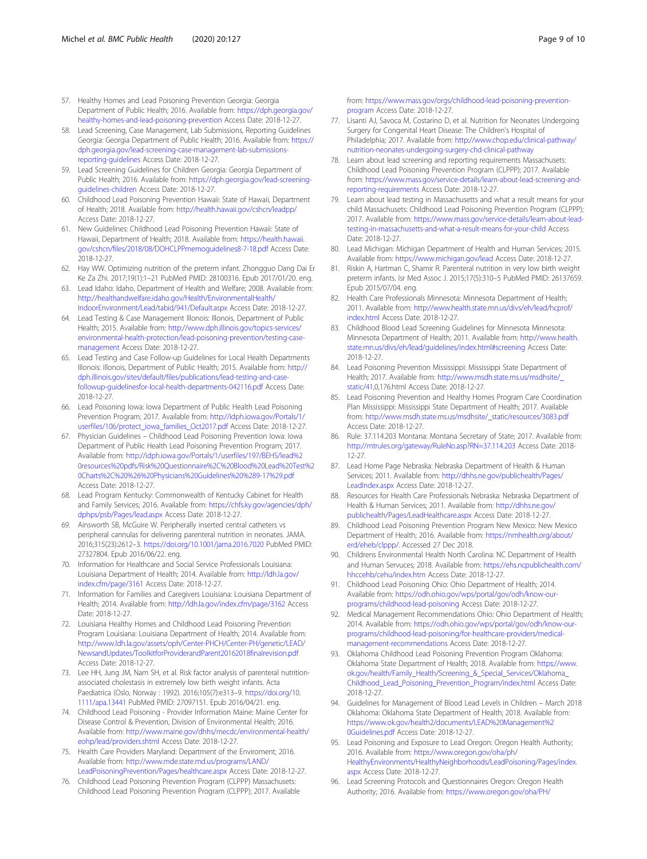- <span id="page-8-0"></span>57. Healthy Homes and Lead Poisoning Prevention Georgia: Georgia Department of Public Health; 2016. Available from: [https://dph.georgia.gov/](https://dph.georgia.gov/healthy-homes-and-lead-poisoning-prevention) [healthy-homes-and-lead-poisoning-prevention](https://dph.georgia.gov/healthy-homes-and-lead-poisoning-prevention) Access Date: 2018-12-27.
- 58. Lead Screening, Case Management, Lab Submissions, Reporting Guidelines Georgia: Georgia Department of Public Health; 2016. Available from: [https://](https://dph.georgia.gov/lead-screening-case-management-lab-submissions-reporting-guidelines) [dph.georgia.gov/lead-screening-case-management-lab-submissions](https://dph.georgia.gov/lead-screening-case-management-lab-submissions-reporting-guidelines)[reporting-guidelines](https://dph.georgia.gov/lead-screening-case-management-lab-submissions-reporting-guidelines) Access Date: 2018-12-27.
- 59. Lead Screening Guidelines for Children Georgia: Georgia Department of Public Health; 2016. Available from: [https://dph.georgia.gov/lead-screening](https://dph.georgia.gov/lead-screening-guidelines-children)[guidelines-children](https://dph.georgia.gov/lead-screening-guidelines-children) Access Date: 2018-12-27.
- 60. Childhood Lead Poisoning Prevention Hawaii: State of Hawaii, Department of Health; 2018. Available from: <http://health.hawaii.gov/cshcn/leadpp/> Access Date: 2018-12-27.
- 61. New Guidelines: Childhood Lead Poisoning Prevention Hawaii: State of Hawaii, Department of Health; 2018. Available from: [https://health.hawaii.](https://health.hawaii.gov/cshcn/files/2018/08/DOHCLPPmemoguidelines8-7-18.pdf) [gov/cshcn/files/2018/08/DOHCLPPmemoguidelines8-7-18.pdf](https://health.hawaii.gov/cshcn/files/2018/08/DOHCLPPmemoguidelines8-7-18.pdf) Access Date: 2018-12-27.
- 62. Hay WW. Optimizing nutrition of the preterm infant. Zhongguo Dang Dai Er Ke Za Zhi. 2017;19(1):1–21 PubMed PMID: 28100316. Epub 2017/01/20. eng.
- 63. Lead Idaho: Idaho, Department of Health and Welfare; 2008. Available from: [http://healthandwelfare.idaho.gov/Health/EnvironmentalHealth/](http://healthandwelfare.idaho.gov/Health/EnvironmentalHealth/IndoorEnvironment/Lead/tabid/941/Default.aspx) [IndoorEnvironment/Lead/tabid/941/Default.aspx](http://healthandwelfare.idaho.gov/Health/EnvironmentalHealth/IndoorEnvironment/Lead/tabid/941/Default.aspx) Access Date: 2018-12-27.
- 64. Lead Testing & Case Management Illonois: Illonois, Department of Public Health; 2015. Available from: [http://www.dph.illinois.gov/topics-services/](http://www.dph.illinois.gov/topics-services/environmental-health-protection/lead-poisoning-prevention/testing-case-management) [environmental-health-protection/lead-poisoning-prevention/testing-case](http://www.dph.illinois.gov/topics-services/environmental-health-protection/lead-poisoning-prevention/testing-case-management)[management](http://www.dph.illinois.gov/topics-services/environmental-health-protection/lead-poisoning-prevention/testing-case-management) Access Date: 2018-12-27.
- 65. Lead Testing and Case Follow-up Guidelines for Local Health Departments Illonois: Illonois, Department of Public Health; 2015. Available from: [http://](http://dph.illinois.gov/sites/default/files/publications/lead-testing-and-case-followup-guidelinesfor-local-health-departments-042116.pdf) [dph.illinois.gov/sites/default/files/publications/lead-testing-and-case](http://dph.illinois.gov/sites/default/files/publications/lead-testing-and-case-followup-guidelinesfor-local-health-departments-042116.pdf)[followup-guidelinesfor-local-health-departments-042116.pdf](http://dph.illinois.gov/sites/default/files/publications/lead-testing-and-case-followup-guidelinesfor-local-health-departments-042116.pdf) Access Date: 2018-12-27.
- 66. Lead Poisoning Iowa: Iowa Department of Public Health Lead Poisoning Prevention Program; 2017. Available from: [http://idph.iowa.gov/Portals/1/](http://idph.iowa.gov/Portals/1/userfiles/106/protect_iowa_families_Oct2017.pdf) [userfiles/106/protect\\_iowa\\_families\\_Oct2017.pdf](http://idph.iowa.gov/Portals/1/userfiles/106/protect_iowa_families_Oct2017.pdf) Access Date: 2018-12-27.
- 67. Physician Guidelines Childhood Lead Poisoning Prevention Iowa: Iowa Department of Public Health Lead Poisoning Prevention Program; 2017. Available from: [http://idph.iowa.gov/Portals/1/userfiles/197/BEHS/lead%2](http://idph.iowa.gov/Portals/1/userfiles/197/BEHS/lead%20resources%20pdfs/Risk%20Questionnaire%2C%20Blood%20Lead%20Test%20Charts%2C%20%26%20Physicians%20Guidelines%20%289-17%29.pdf) [0resources%20pdfs/Risk%20Questionnaire%2C%20Blood%20Lead%20Test%2](http://idph.iowa.gov/Portals/1/userfiles/197/BEHS/lead%20resources%20pdfs/Risk%20Questionnaire%2C%20Blood%20Lead%20Test%20Charts%2C%20%26%20Physicians%20Guidelines%20%289-17%29.pdf) [0Charts%2C%20%26%20Physicians%20Guidelines%20%289-17%29.pdf](http://idph.iowa.gov/Portals/1/userfiles/197/BEHS/lead%20resources%20pdfs/Risk%20Questionnaire%2C%20Blood%20Lead%20Test%20Charts%2C%20%26%20Physicians%20Guidelines%20%289-17%29.pdf) Access Date: 2018-12-27.
- 68. Lead Program Kentucky: Commonwealth of Kentucky Cabinet for Health and Family Services; 2016. Available from: [https://chfs.ky.gov/agencies/dph/](https://chfs.ky.gov/agencies/dph/dphps/psb/Pages/lead.aspx) [dphps/psb/Pages/lead.aspx](https://chfs.ky.gov/agencies/dph/dphps/psb/Pages/lead.aspx) Access Date: 2018-12-27.
- 69. Ainsworth SB, McGuire W. Peripherally inserted central catheters vs peripheral cannulas for delivering parenteral nutrition in neonates. JAMA. 2016;315(23):2612–3. <https://doi.org/10.1001/jama.2016.7020> PubMed PMID: 27327804. Epub 2016/06/22. eng.
- 70. Information for Healthcare and Social Service Professionals Louisiana: Louisiana Department of Health; 2014. Available from: [http://ldh.la.gov/](http://ldh.la.gov/index.cfm/page/3161) [index.cfm/page/3161](http://ldh.la.gov/index.cfm/page/3161) Access Date: 2018-12-27.
- 71. Information for Families and Caregivers Louisiana: Louisiana Department of Health; 2014. Available from: <http://ldh.la.gov/index.cfm/page/3162> Access Date: 2018-12-27.
- 72. Louisiana Healthy Homes and Childhood Lead Poisoning Prevention Program Louisiana: Louisiana Department of Health; 2014. Available from: [http://www.ldh.la.gov/assets/oph/Center-PHCH/Center-PH/genetic/LEAD/](http://www.ldh.la.gov/assets/oph/Center-PHCH/Center-PH/genetic/LEAD/NewsandUpdates/ToolkitforProviderandParent20162018finalrevision.pdf) [NewsandUpdates/ToolkitforProviderandParent20162018finalrevision.pdf](http://www.ldh.la.gov/assets/oph/Center-PHCH/Center-PH/genetic/LEAD/NewsandUpdates/ToolkitforProviderandParent20162018finalrevision.pdf) Access Date: 2018-12-27.
- 73. Lee HH, Jung JM, Nam SH, et al. Risk factor analysis of parenteral nutritionassociated cholestasis in extremely low birth weight infants. Acta Paediatrica (Oslo, Norway : 1992). 2016;105(7):e313–9. [https://doi.org/10.](https://doi.org/10.1111/apa.13441) [1111/apa.13441](https://doi.org/10.1111/apa.13441) PubMed PMID: 27097151. Epub 2016/04/21. eng.
- 74. Childhood Lead Poisoning Provider Information Maine: Maine Center for Disease Control & Prevention, Division of Environmental Health; 2016. Available from: [http://www.maine.gov/dhhs/mecdc/environmental-health/](http://www.maine.gov/dhhs/mecdc/environmental-health/eohp/lead/providers.shtml) [eohp/lead/providers.shtml](http://www.maine.gov/dhhs/mecdc/environmental-health/eohp/lead/providers.shtml) Access Date: 2018-12-27.
- 75. Health Care Providers Maryland: Department of the Enviroment; 2016. Available from: [http://www.mde.state.md.us/programs/LAND/](http://www.mde.state.md.us/programs/LAND/LeadPoisoningPrevention/Pages/healthcare.aspx) [LeadPoisoningPrevention/Pages/healthcare.aspx](http://www.mde.state.md.us/programs/LAND/LeadPoisoningPrevention/Pages/healthcare.aspx) Access Date: 2018-12-27.
- 76. Childhood Lead Poisoning Prevention Program (CLPPP) Massachusets: Childhood Lead Poisoning Prevention Program (CLPPP); 2017. Available

from: [https://www.mass.gov/orgs/childhood-lead-poisoning-prevention](https://www.mass.gov/orgs/childhood-lead-poisoning-prevention-program)[program](https://www.mass.gov/orgs/childhood-lead-poisoning-prevention-program) Access Date: 2018-12-27.

- 77. Lisanti AJ, Savoca M, Costarino D, et al. Nutrition for Neonates Undergoing Surgery for Congenital Heart Disease: The Children's Hospital of Philadelphia; 2017. Available from: [http://www.chop.edu/clinical-pathway/](http://www.chop.edu/clinical-pathway/nutrition-neonates-undergoing-surgery-chd-clinical-pathway) [nutrition-neonates-undergoing-surgery-chd-clinical-pathway](http://www.chop.edu/clinical-pathway/nutrition-neonates-undergoing-surgery-chd-clinical-pathway)
- 78. Learn about lead screening and reporting requirements Massachusets: Childhood Lead Poisoning Prevention Program (CLPPP); 2017. Available from: [https://www.mass.gov/service-details/learn-about-lead-screening-and](https://www.mass.gov/service-details/learn-about-lead-screening-and-reporting-requirements)[reporting-requirements](https://www.mass.gov/service-details/learn-about-lead-screening-and-reporting-requirements) Access Date: 2018-12-27.
- 79. Learn about lead testing in Massachusetts and what a result means for your child Massachusets: Childhood Lead Poisoning Prevention Program (CLPPP); 2017. Available from: [https://www.mass.gov/service-details/learn-about-lead](https://www.mass.gov/service-details/learn-about-lead-testing-in-massachusetts-and-what-a-result-means-for-your-child)[testing-in-massachusetts-and-what-a-result-means-for-your-child](https://www.mass.gov/service-details/learn-about-lead-testing-in-massachusetts-and-what-a-result-means-for-your-child) Access Date: 2018-12-27.
- 80. Lead Michigan: Michigan Department of Health and Human Services; 2015. Available from: <https://www.michigan.gov/lead> Access Date: 2018-12-27.
- 81. Riskin A, Hartman C, Shamir R. Parenteral nutrition in very low birth weight preterm infants. Isr Med Assoc J. 2015;17(5):310–5 PubMed PMID: 26137659. Epub 2015/07/04. eng.
- 82. Health Care Professionals Minnesota: Minnesota Department of Health; 2011. Available from: [http://www.health.state.mn.us/divs/eh/lead/hcprof/](http://www.health.state.mn.us/divs/eh/lead/hcprof/index.html) [index.html](http://www.health.state.mn.us/divs/eh/lead/hcprof/index.html) Access Date: 2018-12-27.
- 83. Childhood Blood Lead Screening Guidelines for Minnesota Minnesota: Minnesota Department of Health; 2011. Available from: [http://www.health.](http://www.health.state.mn.us/divs/eh/lead/guidelines/index.html#screening) [state.mn.us/divs/eh/lead/guidelines/index.html#screening](http://www.health.state.mn.us/divs/eh/lead/guidelines/index.html#screening) Access Date: 2018-12-27.
- 84. Lead Poisoning Prevention Mississippi: Mississippi State Department of Health; 2017. Available from: [http://www.msdh.state.ms.us/msdhsite/\\_](http://www.msdh.state.ms.us/msdhsite/_static/41) [static/41,](http://www.msdh.state.ms.us/msdhsite/_static/41)0,176.html Access Date: 2018-12-27.
- 85. Lead Poisoning Prevention and Healthy Homes Program Care Coordination Plan Mississippi: Mississippi State Department of Health; 2017. Available from: [http://www.msdh.state.ms.us/msdhsite/\\_static/resources/3083.pdf](http://www.msdh.state.ms.us/msdhsite/_static/resources/3083.pdf) Access Date: 2018-12-27.
- 86. Rule: 37.114.203 Montana: Montana Secretary of State; 2017. Available from: <http://mtrules.org/gateway/RuleNo.asp?RN=37.114.203> Access Date: 2018- 12-27.
- 87. Lead Home Page Nebraska: Nebraska Department of Health & Human Services; 2011. Available from: [http://dhhs.ne.gov/publichealth/Pages/](http://dhhs.ne.gov/publichealth/Pages/LeadIndex.aspx) [LeadIndex.aspx](http://dhhs.ne.gov/publichealth/Pages/LeadIndex.aspx) Access Date: 2018-12-27.
- 88. Resources for Health Care Professionals Nebraska: Nebraska Department of Health & Human Services; 2011. Available from: [http://dhhs.ne.gov/](http://dhhs.ne.gov/publichealth/Pages/LeadHealthcare.aspx) [publichealth/Pages/LeadHealthcare.aspx](http://dhhs.ne.gov/publichealth/Pages/LeadHealthcare.aspx) Access Date: 2018-12-27.
- 89. Childhood Lead Poisoning Prevention Program New Mexico: New Mexico Department of Health; 2016. Available from: [https://nmhealth.org/about/](https://nmhealth.org/about/erd/eheb/clppp/) [erd/eheb/clppp/](https://nmhealth.org/about/erd/eheb/clppp/). Accessed 27 Dec 2018.
- 90. Childrens Environmental Health North Carolina: NC Department of Health and Human Servuces; 2018. Available from: [https://ehs.ncpublichealth.com/](https://ehs.ncpublichealth.com/hhccehb/cehu/index.htm) [hhccehb/cehu/index.htm](https://ehs.ncpublichealth.com/hhccehb/cehu/index.htm) Access Date: 2018-12-27.
- 91. Childhood Lead Poisoning Ohio: Ohio Department of Health; 2014. Available from: [https://odh.ohio.gov/wps/portal/gov/odh/know-our](https://odh.ohio.gov/wps/portal/gov/odh/know-our-programs/childhood-lead-poisoning)[programs/childhood-lead-poisoning](https://odh.ohio.gov/wps/portal/gov/odh/know-our-programs/childhood-lead-poisoning) Access Date: 2018-12-27.
- 92. Medical Management Recommendations Ohio: Ohio Department of Health; 2014. Available from: [https://odh.ohio.gov/wps/portal/gov/odh/know-our](https://odh.ohio.gov/wps/portal/gov/odh/know-our-programs/childhood-lead-poisoning/for-healthcare-providers/medical-management-recommendations)[programs/childhood-lead-poisoning/for-healthcare-providers/medical](https://odh.ohio.gov/wps/portal/gov/odh/know-our-programs/childhood-lead-poisoning/for-healthcare-providers/medical-management-recommendations)[management-recommendations](https://odh.ohio.gov/wps/portal/gov/odh/know-our-programs/childhood-lead-poisoning/for-healthcare-providers/medical-management-recommendations) Access Date: 2018-12-27.
- 93. Oklahoma Childhood Lead Poisoning Prevention Program Oklahoma: Oklahoma State Department of Health; 2018. Available from: [https://www.](https://www.ok.gov/health/Family_Health/Screening_&_Special_Services/Oklahoma_Childhood_Lead_Poisoning_Prevention_Program/index.html) ok.gov/health/Family\_Health/Screening\_&\_Special\_Services/Oklahoma [Childhood\\_Lead\\_Poisoning\\_Prevention\\_Program/index.html](https://www.ok.gov/health/Family_Health/Screening_&_Special_Services/Oklahoma_Childhood_Lead_Poisoning_Prevention_Program/index.html) Access Date: 2018-12-27.
- 94. Guidelines for Management of Blood Lead Levels in Children March 2018 Oklahoma: Oklahoma State Department of Health; 2018. Available from: [https://www.ok.gov/health2/documents/LEAD%20Management%2](https://www.ok.gov/health2/documents/LEAD%20Management%20Guidelines.pdf) [0Guidelines.pdf](https://www.ok.gov/health2/documents/LEAD%20Management%20Guidelines.pdf) Access Date: 2018-12-27.
- 95. Lead Poisoning and Exposure to Lead Oregon: Oregon Health Authority; 2016. Available from: [https://www.oregon.gov/oha/ph/](https://www.oregon.gov/oha/ph/HealthyEnvironments/HealthyNeighborhoods/LeadPoisoning/Pages/index.aspx) [HealthyEnvironments/HealthyNeighborhoods/LeadPoisoning/Pages/index.](https://www.oregon.gov/oha/ph/HealthyEnvironments/HealthyNeighborhoods/LeadPoisoning/Pages/index.aspx) [aspx](https://www.oregon.gov/oha/ph/HealthyEnvironments/HealthyNeighborhoods/LeadPoisoning/Pages/index.aspx) Access Date: 2018-12-27.
- 96. Lead Screening Protocols and Questionnaires Oregon: Oregon Health Authority; 2016. Available from: [https://www.oregon.gov/oha/PH/](https://www.oregon.gov/oha/PH/HEALTHYENVIRONMENTS/HEALTHYNEIGHBORHOODS/LEADPOISONING/COUNTYHEALTHDEPARTMENTS/Pages/index.aspx)